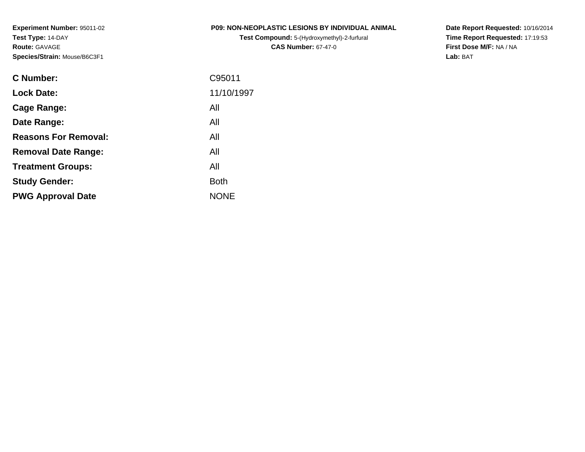**Experiment Number:** 95011-02**Test Type:** 14-DAY**Route:** GAVAGE**Species/Strain:** Mouse/B6C3F1

**Test Compound:** 5-(Hydroxymethyl)-2-furfural **CAS Number:** 67-47-0

**Date Report Requested:** 10/16/2014 **Time Report Requested:** 17:19:53**First Dose M/F:** NA / NA**Lab:** BAT

| <b>C</b> Number:            | C95011      |
|-----------------------------|-------------|
| <b>Lock Date:</b>           | 11/10/1997  |
| Cage Range:                 | All         |
| Date Range:                 | All         |
| <b>Reasons For Removal:</b> | All         |
| <b>Removal Date Range:</b>  | All         |
| <b>Treatment Groups:</b>    | All         |
| <b>Study Gender:</b>        | <b>Both</b> |
| <b>PWG Approval Date</b>    | <b>NONE</b> |
|                             |             |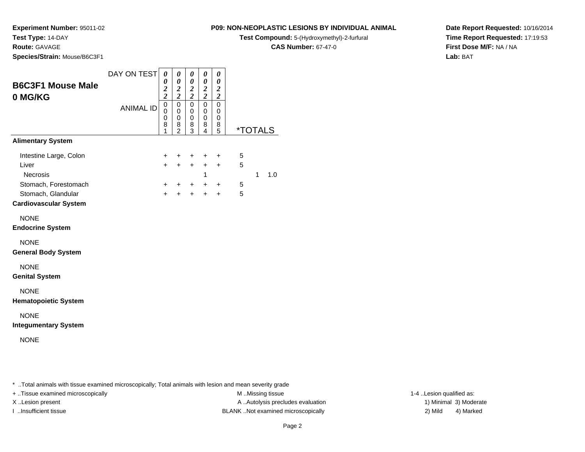**Experiment Number:** 95011-02

**Test Type:** 14-DAY

**Route:** GAVAGE

**Species/Strain:** Mouse/B6C3F1

### **P09: NON-NEOPLASTIC LESIONS BY INDIVIDUAL ANIMAL**

**Test Compound:** 5-(Hydroxymethyl)-2-furfural

**CAS Number:** 67-47-0

**Date Report Requested:** 10/16/2014**Time Report Requested:** 17:19:53**First Dose M/F:** NA / NA**Lab:** BAT

|                                                                            | DAY ON TEST      | 0<br>0                                      | 0<br>0                                                 | 0<br>0                                    | 0<br>0                                              | 0<br>0                             |                       |              |     |
|----------------------------------------------------------------------------|------------------|---------------------------------------------|--------------------------------------------------------|-------------------------------------------|-----------------------------------------------------|------------------------------------|-----------------------|--------------|-----|
| <b>B6C3F1 Mouse Male</b><br>0 MG/KG                                        |                  | $\boldsymbol{2}$<br>$\overline{\mathbf{c}}$ | $\boldsymbol{2}$<br>$\overline{\mathbf{c}}$            | $\frac{2}{2}$                             | $\boldsymbol{2}$<br>$\overline{2}$                  | $\boldsymbol{2}$<br>$\overline{c}$ |                       |              |     |
|                                                                            | <b>ANIMAL ID</b> | $\mathbf 0$<br>0<br>0<br>8<br>1             | $\mathbf 0$<br>0<br>$\mathbf 0$<br>8<br>$\overline{2}$ | $\mathbf 0$<br>0<br>$\mathbf 0$<br>8<br>3 | $\mathbf 0$<br>$\mathbf 0$<br>$\mathbf 0$<br>8<br>4 | $\mathbf 0$<br>0<br>0<br>8<br>5    | <i><b>*TOTALS</b></i> |              |     |
| <b>Alimentary System</b>                                                   |                  |                                             |                                                        |                                           |                                                     |                                    |                       |              |     |
| Intestine Large, Colon<br>Liver<br><b>Necrosis</b>                         |                  | $+$<br>$+$                                  | $\ddot{}$<br>$\ddot{}$                                 | $\ddot{}$<br>$\ddot{}$                    | ÷<br>$+$<br>1                                       | $\ddot{}$<br>$\ddot{}$             | 5<br>5                | $\mathbf{1}$ | 1.0 |
| Stomach, Forestomach<br>Stomach, Glandular<br><b>Cardiovascular System</b> |                  | $\pm$<br>$\ddot{}$                          | $\pm$<br>$\ddot{}$                                     | $+$<br>$+$                                | $+$<br>$+$                                          | $\ddot{}$<br>$\ddot{}$             | 5<br>5                |              |     |
| <b>NONE</b><br><b>Endocrine System</b>                                     |                  |                                             |                                                        |                                           |                                                     |                                    |                       |              |     |
| <b>NONE</b><br><b>General Body System</b>                                  |                  |                                             |                                                        |                                           |                                                     |                                    |                       |              |     |
| <b>NONE</b><br><b>Genital System</b>                                       |                  |                                             |                                                        |                                           |                                                     |                                    |                       |              |     |
| <b>NONE</b><br><b>Hematopoietic System</b>                                 |                  |                                             |                                                        |                                           |                                                     |                                    |                       |              |     |
| <b>NONE</b><br><b>Integumentary System</b>                                 |                  |                                             |                                                        |                                           |                                                     |                                    |                       |              |     |
| <b>NONE</b>                                                                |                  |                                             |                                                        |                                           |                                                     |                                    |                       |              |     |

\* ..Total animals with tissue examined microscopically; Total animals with lesion and mean severity grade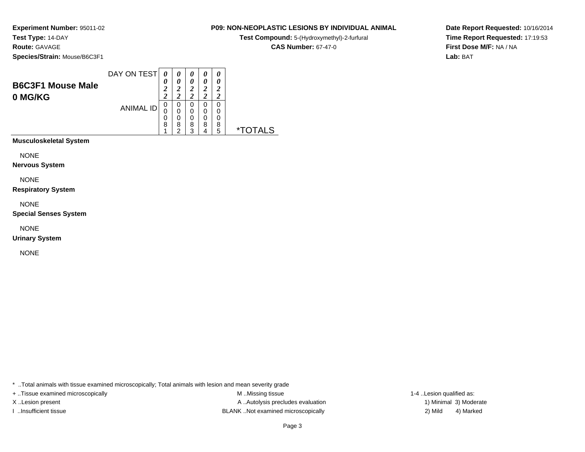### **Route:** GAVAGE

**Species/Strain:** Mouse/B6C3F1

| <b>B6C3F1 Mouse Male</b><br>0 MG/KG | DAY ON TEST      | 0<br>0<br>າ<br>∠<br>າ<br>∠ | 0<br>0<br>ി<br>∠<br>ി | 0<br>0<br>ኅ<br>∠<br><u>า</u> | ◠ | 0<br>◠ |
|-------------------------------------|------------------|----------------------------|-----------------------|------------------------------|---|--------|
|                                     | <b>ANIMAL ID</b> | 0<br>C<br>0                | 0<br>0<br>0           | 0<br>0<br>0                  |   |        |
|                                     |                  | 8                          | 8<br>ົ                | 8<br>2                       | 8 | 8<br>5 |

**Musculoskeletal System**

NONE

**Nervous System**

NONE

**Respiratory System**

NONE

**Special Senses System**

NONE

**Urinary System**

NONE

\* ..Total animals with tissue examined microscopically; Total animals with lesion and mean severity grade

+ ..Tissue examined microscopically examined microscopically examined as:  $M$  ..Missing tissue 1-4 ..Lesion qualified as: X..Lesion present **A ..Autolysis precludes evaluation** A ..Autolysis precludes evaluation 1) Minimal 3) Moderate I ..Insufficient tissue BLANK ..Not examined microscopically 2) Mild 4) Marked

**P09: NON-NEOPLASTIC LESIONS BY INDIVIDUAL ANIMALTest Compound:** 5-(Hydroxymethyl)-2-furfural **CAS Number:** 67-47-0

**Date Report Requested:** 10/16/2014**Time Report Requested:** 17:19:53**First Dose M/F:** NA / NA**Lab:** BAT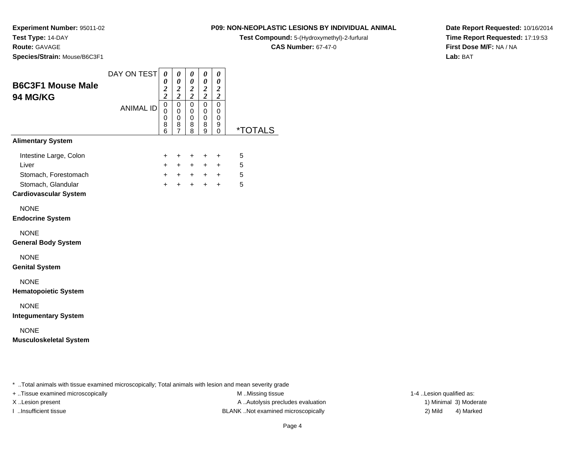**Route:** GAVAGE

**Species/Strain:** Mouse/B6C3F1

### **P09: NON-NEOPLASTIC LESIONS BY INDIVIDUAL ANIMAL**

**Test Compound:** 5-(Hydroxymethyl)-2-furfural

**CAS Number:** 67-47-0

**Date Report Requested:** 10/16/2014**Time Report Requested:** 17:19:53**First Dose M/F:** NA / NA**Lab:** BAT

| <b>B6C3F1 Mouse Male</b>                                | DAY ON TEST      | 0<br>0<br>$\frac{2}{2}$                | 0<br>$\boldsymbol{\theta}$<br>$\frac{2}{2}$                      | 0<br>0<br>$\boldsymbol{2}$                                            | 0<br>0<br>$\frac{2}{2}$                 | 0<br>$\boldsymbol{\theta}$<br>$\frac{2}{2}$         |                       |  |
|---------------------------------------------------------|------------------|----------------------------------------|------------------------------------------------------------------|-----------------------------------------------------------------------|-----------------------------------------|-----------------------------------------------------|-----------------------|--|
| 94 MG/KG                                                | <b>ANIMAL ID</b> | $\mathsf 0$<br>$\Omega$<br>0<br>8<br>6 | $\mathbf 0$<br>$\mathbf 0$<br>$\mathbf 0$<br>8<br>$\overline{7}$ | $\overline{c}$<br>$\mathbf 0$<br>$\mathbf 0$<br>$\mathbf 0$<br>8<br>8 | $\mathsf 0$<br>0<br>$\pmb{0}$<br>8<br>9 | $\mathbf 0$<br>$\mathbf 0$<br>$\mathbf 0$<br>9<br>0 | <i><b>*TOTALS</b></i> |  |
| <b>Alimentary System</b>                                |                  |                                        |                                                                  |                                                                       |                                         |                                                     |                       |  |
| Intestine Large, Colon<br>Liver<br>Stomach, Forestomach |                  | $\ddot{}$<br>$+$<br>$+$                | +<br>$+$                                                         | $\ddot{}$<br>$+$<br>$+$ $+$ $+$ $+$                                   | $\ddot{}$<br>$+$                        | $\ddot{}$<br>$+$                                    | 5<br>5<br>5           |  |
| Stomach, Glandular<br><b>Cardiovascular System</b>      |                  | $+$                                    | $+$                                                              | $+$                                                                   | $+$                                     | $+$                                                 | 5                     |  |
| <b>NONE</b><br><b>Endocrine System</b>                  |                  |                                        |                                                                  |                                                                       |                                         |                                                     |                       |  |
| <b>NONE</b><br><b>General Body System</b>               |                  |                                        |                                                                  |                                                                       |                                         |                                                     |                       |  |
| <b>NONE</b><br><b>Genital System</b>                    |                  |                                        |                                                                  |                                                                       |                                         |                                                     |                       |  |
| <b>NONE</b><br><b>Hematopoietic System</b>              |                  |                                        |                                                                  |                                                                       |                                         |                                                     |                       |  |
| <b>NONE</b><br><b>Integumentary System</b>              |                  |                                        |                                                                  |                                                                       |                                         |                                                     |                       |  |
| <b>NONE</b><br><b>Musculoskeletal System</b>            |                  |                                        |                                                                  |                                                                       |                                         |                                                     |                       |  |

..Total animals with tissue examined microscopically; Total animals with lesion and mean severity grade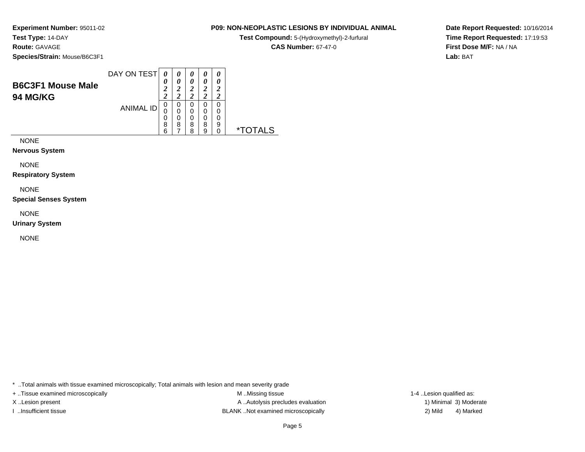### **Route:** GAVAGE

**Species/Strain:** Mouse/B6C3F1

| <b>B6C3F1 Mouse Male</b><br><b>94 MG/KG</b> | DAY ON TEST      | 0<br><u>า</u><br>∠<br>◠ | 0<br>ി      | 0<br>0<br>2<br>ി      | 0<br>0<br>$\overline{2}$<br>2 | 0<br>0<br>7<br>ာ      |  |
|---------------------------------------------|------------------|-------------------------|-------------|-----------------------|-------------------------------|-----------------------|--|
|                                             | <b>ANIMAL ID</b> | 0<br>O<br>0<br>8<br>6   | O<br>0<br>8 | 0<br>0<br>0<br>8<br>я | 0<br>0<br>0<br>8<br>9         | 0<br>0<br>0<br>9<br>0 |  |

NONE

### **Nervous System**

NONE

**Respiratory System**

NONE

**Special Senses System**

NONE

**Urinary System**

NONE

\* ..Total animals with tissue examined microscopically; Total animals with lesion and mean severity grade

+ ..Tissue examined microscopically examined microscopically examined as:  $M$  ..Missing tissue 1-4 ..Lesion qualified as: X..Lesion present **A ..Autolysis precludes evaluation** A ..Autolysis precludes evaluation 1) Minimal 3) Moderate I ..Insufficient tissue BLANK ..Not examined microscopically 2) Mild 4) Marked

**Date Report Requested:** 10/16/2014**Time Report Requested:** 17:19:53**First Dose M/F:** NA / NA**Lab:** BAT

### **P09: NON-NEOPLASTIC LESIONS BY INDIVIDUAL ANIMAL**

**Test Compound:** 5-(Hydroxymethyl)-2-furfural

**CAS Number:** 67-47-0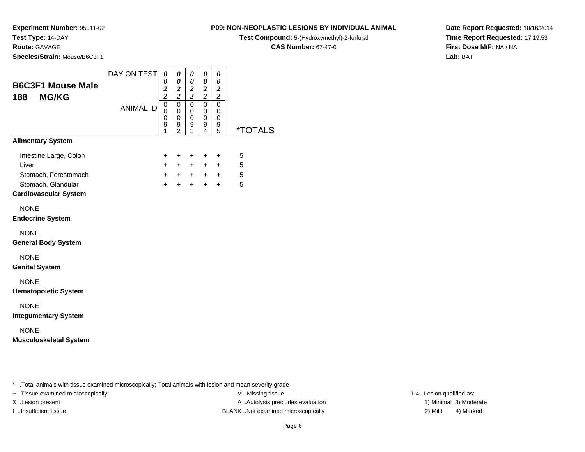**Route:** GAVAGE

**Species/Strain:** Mouse/B6C3F1

### **P09: NON-NEOPLASTIC LESIONS BY INDIVIDUAL ANIMAL**

**Test Compound:** 5-(Hydroxymethyl)-2-furfural

**CAS Number:** 67-47-0

**Date Report Requested:** 10/16/2014**Time Report Requested:** 17:19:53**First Dose M/F:** NA / NA**Lab:** BAT

| <b>B6C3F1 Mouse Male</b>                                                                                      | DAY ON TEST      | 0<br>0<br>$\frac{2}{2}$            | 0<br>$\boldsymbol{\theta}$<br>$\frac{2}{2}$         | 0<br>0<br>$\frac{2}{2}$                             | 0<br>0<br>$\frac{2}{2}$                      | 0<br>0                                                                  |                       |
|---------------------------------------------------------------------------------------------------------------|------------------|------------------------------------|-----------------------------------------------------|-----------------------------------------------------|----------------------------------------------|-------------------------------------------------------------------------|-----------------------|
| <b>MG/KG</b><br>188                                                                                           | <b>ANIMAL ID</b> | $\mathbf 0$<br>0<br>0<br>9<br>1    | $\overline{0}$<br>$\mathbf 0$<br>0<br>$\frac{9}{2}$ | $\Omega$<br>0<br>$\mathbf 0$<br>9<br>$\overline{3}$ | $\mathbf 0$<br>0<br>0<br>9<br>$\overline{4}$ | $\frac{2}{2}$<br>$\mathbf 0$<br>0<br>$\mathbf 0$<br>9<br>$\overline{5}$ | <i><b>*TOTALS</b></i> |
| <b>Alimentary System</b>                                                                                      |                  |                                    |                                                     |                                                     |                                              |                                                                         |                       |
| Intestine Large, Colon<br>Liver<br>Stomach, Forestomach<br>Stomach, Glandular<br><b>Cardiovascular System</b> |                  | +<br>$\ddot{}$<br>$\ddot{}$<br>$+$ | +<br>$+$<br>$+$<br>$\ddot{}$                        | +<br>$+$<br>$+$<br>$+$                              | $\ddot{}$<br>$\ddot{}$<br>$+$<br>$+$         | $\ddot{}$<br>$\ddot{}$<br>$+$<br>$+$                                    | 5<br>5<br>5<br>5      |
| <b>NONE</b><br><b>Endocrine System</b>                                                                        |                  |                                    |                                                     |                                                     |                                              |                                                                         |                       |
| <b>NONE</b><br><b>General Body System</b>                                                                     |                  |                                    |                                                     |                                                     |                                              |                                                                         |                       |
| <b>NONE</b><br><b>Genital System</b>                                                                          |                  |                                    |                                                     |                                                     |                                              |                                                                         |                       |
| <b>NONE</b><br><b>Hematopoietic System</b>                                                                    |                  |                                    |                                                     |                                                     |                                              |                                                                         |                       |
| <b>NONE</b><br><b>Integumentary System</b>                                                                    |                  |                                    |                                                     |                                                     |                                              |                                                                         |                       |
| <b>NONE</b><br><b>Musculoskeletal System</b>                                                                  |                  |                                    |                                                     |                                                     |                                              |                                                                         |                       |
|                                                                                                               |                  |                                    |                                                     |                                                     |                                              |                                                                         |                       |
| * Total animals with tissue examined microscopically: Total animals with lesion and mean severity             |                  |                                    |                                                     |                                                     |                                              |                                                                         |                       |

\* ..Total animals with tissue examined microscopically; Total animals with lesion and mean severity grade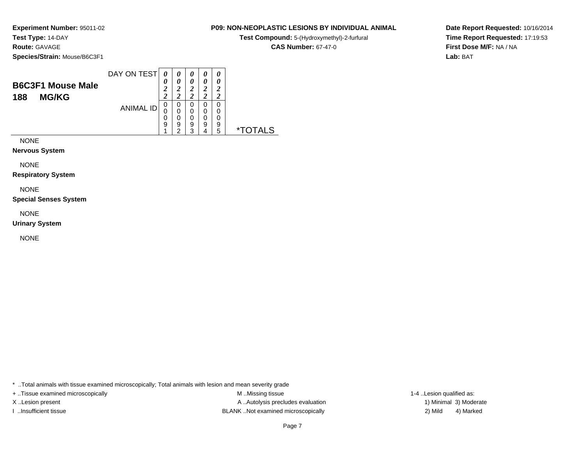### **Route:** GAVAGE

**Species/Strain:** Mouse/B6C3F1

| <b>B6C3F1 Mouse Male</b><br><b>MG/KG</b><br>188 | DAY ON TEST      | 0<br>ኅ<br>◢<br><u>า</u><br>∠ | $\boldsymbol{\theta}$<br>ി<br>Δ | 0<br>0<br>$\overline{2}$<br>າ<br>∠ | 0<br>0<br>1<br>∠<br>ኅ<br>∠ | 0<br>0<br>2<br>ി      |  |
|-------------------------------------------------|------------------|------------------------------|---------------------------------|------------------------------------|----------------------------|-----------------------|--|
|                                                 | <b>ANIMAL ID</b> | 0<br>0<br>0<br>9<br>и        | U<br>9<br>c                     | 0<br>0<br>0<br>9<br>າ              | 0<br>0<br>0<br>9           | 0<br>0<br>0<br>9<br>5 |  |

NONE

**Nervous System**

NONE

**Respiratory System**

NONE

**Special Senses System**

NONE

**Urinary System**

NONE

\* ..Total animals with tissue examined microscopically; Total animals with lesion and mean severity grade

+ ..Tissue examined microscopically examined microscopically examined as:  $M$  ..Missing tissue 1-4 ..Lesion qualified as: X..Lesion present **A ..Autolysis precludes evaluation** A ..Autolysis precludes evaluation 1) Minimal 3) Moderate I ..Insufficient tissue BLANK ..Not examined microscopically 2) Mild 4) Marked

### Page 7

**P09: NON-NEOPLASTIC LESIONS BY INDIVIDUAL ANIMALTest Compound:** 5-(Hydroxymethyl)-2-furfural **CAS Number:** 67-47-0

**Date Report Requested:** 10/16/2014**Time Report Requested:** 17:19:53**First Dose M/F:** NA / NA**Lab:** BAT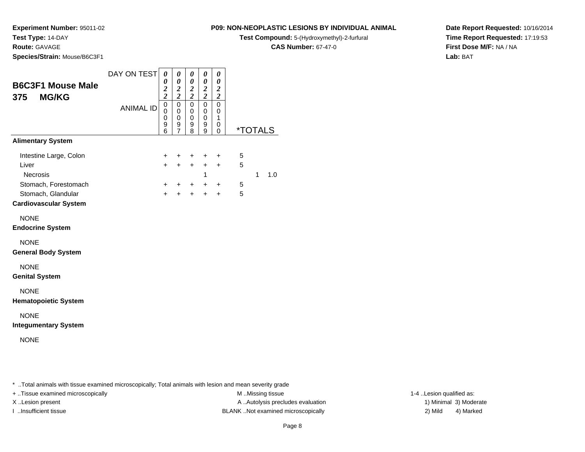**Experiment Number:** 95011-02

**Test Type:** 14-DAY

**Route:** GAVAGE

**Species/Strain:** Mouse/B6C3F1

### **P09: NON-NEOPLASTIC LESIONS BY INDIVIDUAL ANIMAL**

**Test Compound:** 5-(Hydroxymethyl)-2-furfural

**CAS Number:** 67-47-0

**Date Report Requested:** 10/16/2014**Time Report Requested:** 17:19:53**First Dose M/F:** NA / NA**Lab:** BAT

|                              | DAY ON TEST      | 0                   | 0                     | 0                       | 0                   | 0                     |                       |   |     |
|------------------------------|------------------|---------------------|-----------------------|-------------------------|---------------------|-----------------------|-----------------------|---|-----|
| <b>B6C3F1 Mouse Male</b>     |                  | 0                   | 0<br>$\boldsymbol{2}$ | 0<br>$\boldsymbol{2}$   | 0                   | 0<br>$\boldsymbol{2}$ |                       |   |     |
| <b>MG/KG</b><br>375          |                  | $\frac{2}{2}$       | $\overline{2}$        | $\overline{\mathbf{c}}$ | $\frac{2}{2}$       | $\overline{2}$        |                       |   |     |
|                              | <b>ANIMAL ID</b> | $\pmb{0}$<br>0      | 0<br>0                | $\mathbf 0$<br>0        | 0<br>0              | $\mathbf 0$<br>0      |                       |   |     |
|                              |                  | 0                   | 0                     | $\mathbf 0$             | 0                   | 1                     |                       |   |     |
|                              |                  | 9<br>$\overline{6}$ | 9<br>$\overline{7}$   | 9<br>8                  | 9<br>$\overline{9}$ | 0<br>0                | <i><b>*TOTALS</b></i> |   |     |
| <b>Alimentary System</b>     |                  |                     |                       |                         |                     |                       |                       |   |     |
| Intestine Large, Colon       |                  | +                   | +                     | +                       | +                   | $\ddot{}$             | 5                     |   |     |
| Liver                        |                  | $\ddot{}$           | $+$                   | $\ddot{}$               | $\ddot{}$           | $\ddot{}$             | 5                     |   |     |
| <b>Necrosis</b>              |                  |                     |                       |                         | 1                   |                       |                       | 1 | 1.0 |
| Stomach, Forestomach         |                  | +                   | +                     | $\ddot{}$               | $\ddot{}$           | $\ddot{}$             | 5                     |   |     |
| Stomach, Glandular           |                  | $\ddot{}$           | ÷                     | $\ddot{}$               | $\ddot{}$           | $\ddot{}$             | 5                     |   |     |
| <b>Cardiovascular System</b> |                  |                     |                       |                         |                     |                       |                       |   |     |
| <b>NONE</b>                  |                  |                     |                       |                         |                     |                       |                       |   |     |
| <b>Endocrine System</b>      |                  |                     |                       |                         |                     |                       |                       |   |     |
| <b>NONE</b>                  |                  |                     |                       |                         |                     |                       |                       |   |     |
| <b>General Body System</b>   |                  |                     |                       |                         |                     |                       |                       |   |     |
| <b>NONE</b>                  |                  |                     |                       |                         |                     |                       |                       |   |     |
| <b>Genital System</b>        |                  |                     |                       |                         |                     |                       |                       |   |     |
| <b>NONE</b>                  |                  |                     |                       |                         |                     |                       |                       |   |     |
| <b>Hematopoietic System</b>  |                  |                     |                       |                         |                     |                       |                       |   |     |
| <b>NONE</b>                  |                  |                     |                       |                         |                     |                       |                       |   |     |
| <b>Integumentary System</b>  |                  |                     |                       |                         |                     |                       |                       |   |     |
| <b>NONE</b>                  |                  |                     |                       |                         |                     |                       |                       |   |     |
|                              |                  |                     |                       |                         |                     |                       |                       |   |     |
|                              |                  |                     |                       |                         |                     |                       |                       |   |     |

\* ..Total animals with tissue examined microscopically; Total animals with lesion and mean severity grade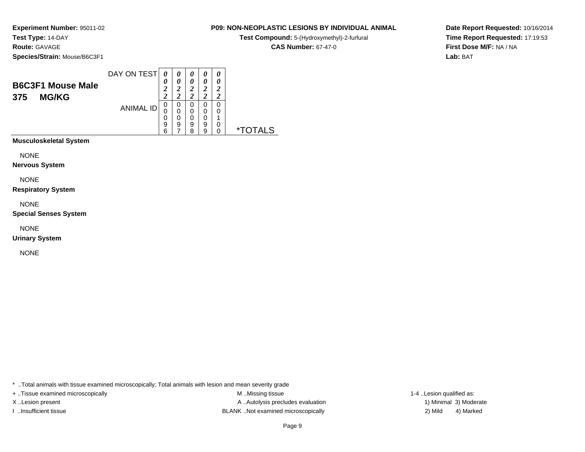**Route:** GAVAGE

**Species/Strain:** Mouse/B6C3F1

**Test Compound:** 5-(Hydroxymethyl)-2-furfural

**CAS Number:** 67-47-0

**Date Report Requested:** 10/16/2014**Time Report Requested:** 17:19:53**First Dose M/F:** NA / NA**Lab:** BAT

| <b>MG/KG</b><br>375<br>0<br>0<br>0<br><b>ANIMAL ID</b><br>0<br>0<br>0 | 0<br>0<br>2<br>2      | ኅ<br>ി                    |  |
|-----------------------------------------------------------------------|-----------------------|---------------------------|--|
| 0<br>0<br>0<br>9<br>9<br>9<br>6<br>я                                  | 0<br>0<br>0<br>9<br>a | 0<br>0<br>0<br>∗⊤<br>AL S |  |

**Musculoskeletal System**

NONE

**Nervous System**

NONE

**Respiratory System**

NONE

**Special Senses System**

NONE

**Urinary System**

NONE

\* ..Total animals with tissue examined microscopically; Total animals with lesion and mean severity grade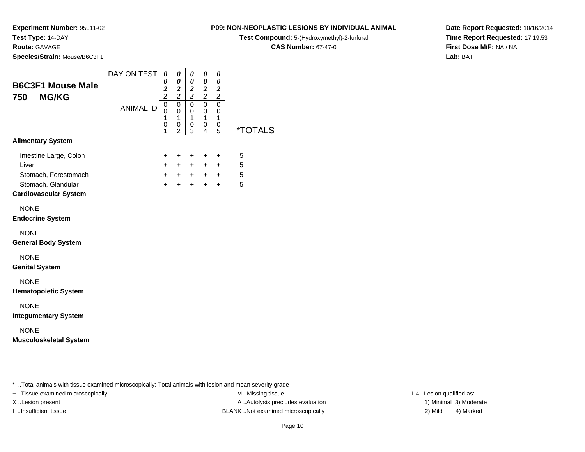**Route:** GAVAGE

**Species/Strain:** Mouse/B6C3F1

### **P09: NON-NEOPLASTIC LESIONS BY INDIVIDUAL ANIMAL**

**Test Compound:** 5-(Hydroxymethyl)-2-furfural

**CAS Number:** 67-47-0

**Date Report Requested:** 10/16/2014**Time Report Requested:** 17:19:53**First Dose M/F:** NA / NA**Lab:** BAT

| <b>B6C3F1 Mouse Male</b>                                                                        | DAY ON TEST      | 0<br>0                                   | 0<br>$\boldsymbol{\theta}$                                              | 0<br>0<br>$\boldsymbol{2}$                        | 0<br>0                                                     | 0<br>0<br>$\boldsymbol{2}$                                   |                       |
|-------------------------------------------------------------------------------------------------|------------------|------------------------------------------|-------------------------------------------------------------------------|---------------------------------------------------|------------------------------------------------------------|--------------------------------------------------------------|-----------------------|
| <b>MG/KG</b><br>750                                                                             | <b>ANIMAL ID</b> | $\frac{2}{2}$<br>0<br>0<br>1<br>0<br>1   | $\frac{2}{2}$<br>$\mathbf 0$<br>$\mathbf 0$<br>1<br>0<br>$\overline{2}$ | $\overline{c}$<br>$\mathbf 0$<br>0<br>1<br>0<br>3 | $\frac{2}{2}$<br>$\mathbf 0$<br>$\mathbf 0$<br>1<br>0<br>4 | $\overline{2}$<br>$\mathbf 0$<br>0<br>$\mathbf{1}$<br>0<br>5 | <i><b>*TOTALS</b></i> |
| <b>Alimentary System</b>                                                                        |                  |                                          |                                                                         |                                                   |                                                            |                                                              |                       |
| Intestine Large, Colon<br>Liver<br>Stomach, Forestomach<br>Stomach, Glandular                   |                  | +<br>$\ddot{}$<br>$\ddot{}$<br>$\ddot{}$ | +<br>$+$<br>$+$<br>$+$                                                  | +<br>$+$<br>$+$<br>$+$                            | $\ddot{}$<br>$\ddot{}$<br>$+$<br>$+$                       | +<br>$+$<br>$\ddot{}$<br>$+$                                 | 5<br>5<br>5<br>5      |
| <b>Cardiovascular System</b>                                                                    |                  |                                          |                                                                         |                                                   |                                                            |                                                              |                       |
| <b>NONE</b><br><b>Endocrine System</b>                                                          |                  |                                          |                                                                         |                                                   |                                                            |                                                              |                       |
| <b>NONE</b><br><b>General Body System</b>                                                       |                  |                                          |                                                                         |                                                   |                                                            |                                                              |                       |
| <b>NONE</b><br><b>Genital System</b>                                                            |                  |                                          |                                                                         |                                                   |                                                            |                                                              |                       |
| <b>NONE</b><br><b>Hematopoietic System</b>                                                      |                  |                                          |                                                                         |                                                   |                                                            |                                                              |                       |
| <b>NONE</b><br><b>Integumentary System</b>                                                      |                  |                                          |                                                                         |                                                   |                                                            |                                                              |                       |
| <b>NONE</b><br><b>Musculoskeletal System</b>                                                    |                  |                                          |                                                                         |                                                   |                                                            |                                                              |                       |
|                                                                                                 |                  |                                          |                                                                         |                                                   |                                                            |                                                              |                       |
| Total animals with tissue examined microsconically. Total animals with lesion and mean severity |                  |                                          |                                                                         |                                                   |                                                            |                                                              |                       |

..Total animals with tissue examined microscopically; Total animals with lesion and mean severity grade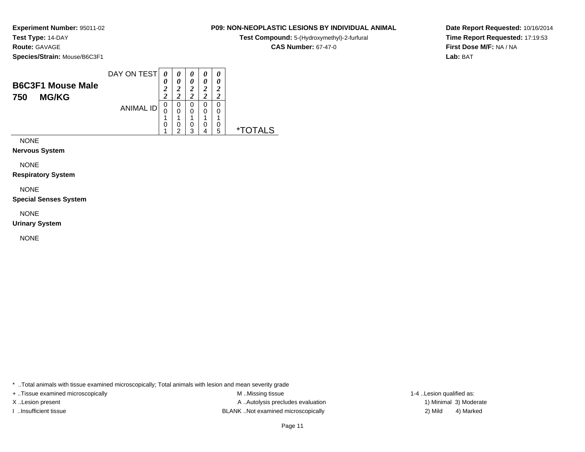### **Route:** GAVAGE

**Species/Strain:** Mouse/B6C3F1

| <b>B6C3F1 Mouse Male</b><br><b>MG/KG</b><br>750 | DAY ON TEST      | 0<br>0<br>2<br><u>า</u> | 0<br>0<br><u>า</u><br>∠<br>ി | 0<br>0<br>ኅ<br>∠<br>◠ | 2      | 0<br>0<br>2<br>7 |  |
|-------------------------------------------------|------------------|-------------------------|------------------------------|-----------------------|--------|------------------|--|
|                                                 | <b>ANIMAL ID</b> | 0<br>U<br>и<br>0        | 0<br>0<br>◢<br>0             | 0<br>0<br>◢<br>0      | 4<br>0 | 0<br>0<br>4<br>0 |  |
|                                                 |                  | A                       | ົ                            | 3                     |        | 5                |  |

NONE

**Nervous System**

NONE

**Respiratory System**

NONE

**Special Senses System**

NONE

**Urinary System**

NONE

\* ..Total animals with tissue examined microscopically; Total animals with lesion and mean severity grade

+ ..Tissue examined microscopically examined microscopically examined as:  $M$  ..Missing tissue 1-4 ..Lesion qualified as: X..Lesion present **A ..Autolysis precludes evaluation** A ..Autolysis precludes evaluation 1) Minimal 3) Moderate I ..Insufficient tissue BLANK ..Not examined microscopically 2) Mild 4) Marked

# Page 11

**P09: NON-NEOPLASTIC LESIONS BY INDIVIDUAL ANIMALTest Compound:** 5-(Hydroxymethyl)-2-furfural **CAS Number:** 67-47-0

**Date Report Requested:** 10/16/2014**Time Report Requested:** 17:19:53**First Dose M/F:** NA / NA**Lab:** BAT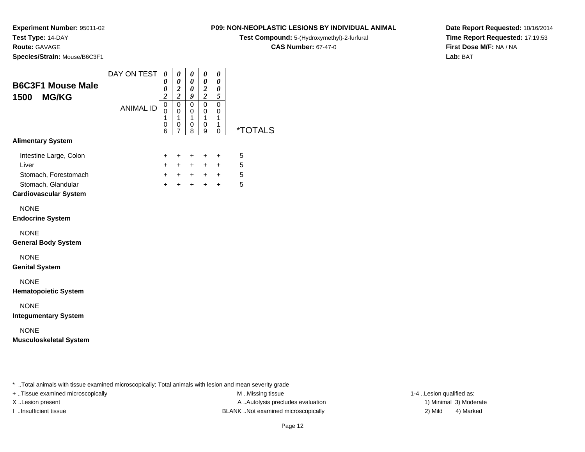**Experiment Number:** 95011-02

**Test Type:** 14-DAY

**Route:** GAVAGE

**Species/Strain:** Mouse/B6C3F1

### **P09: NON-NEOPLASTIC LESIONS BY INDIVIDUAL ANIMAL**

**Test Compound:** 5-(Hydroxymethyl)-2-furfural

**CAS Number:** 67-47-0

**Date Report Requested:** 10/16/2014**Time Report Requested:** 17:19:53**First Dose M/F:** NA / NA**Lab:** BAT

| <b>B6C3F1 Mouse Male</b><br><b>MG/KG</b><br>1500 | DAY ON TEST<br><b>ANIMAL ID</b> | 0<br>0<br>0<br>$\overline{c}$<br>$\mathsf 0$<br>0<br>$\mathbf{1}$<br>0<br>6 | 0<br>$\boldsymbol{\theta}$<br>$\frac{2}{2}$<br>$\pmb{0}$<br>$\mathbf 0$<br>$\mathbf{1}$<br>0<br>7 | 0<br>0<br>0<br>9<br>0<br>0<br>$\mathbf{1}$<br>0<br>8 | 0<br>$\pmb{\theta}$<br>$\boldsymbol{2}$<br>$\overline{c}$<br>$\mathbf 0$<br>$\mathbf 0$<br>$\mathbf{1}$<br>0<br>9 | 0<br>0<br>0<br>5<br>$\mathbf 0$<br>0<br>$\mathbf{1}$<br>1<br>0 | <i><b>*TOTALS</b></i> |
|--------------------------------------------------|---------------------------------|-----------------------------------------------------------------------------|---------------------------------------------------------------------------------------------------|------------------------------------------------------|-------------------------------------------------------------------------------------------------------------------|----------------------------------------------------------------|-----------------------|
| <b>Alimentary System</b>                         |                                 |                                                                             |                                                                                                   |                                                      |                                                                                                                   |                                                                |                       |
| Intestine Large, Colon                           |                                 | $^+$                                                                        | $+$                                                                                               | $\ddot{}$                                            | $\ddot{}$                                                                                                         | +                                                              | 5                     |
| Liver                                            |                                 | $+$                                                                         | $+$                                                                                               | $+$                                                  | $+$                                                                                                               | $\ddot{}$                                                      | 5                     |
| Stomach, Forestomach                             |                                 | $+$                                                                         |                                                                                                   |                                                      | $+$ + + +                                                                                                         |                                                                | 5                     |
| Stomach, Glandular                               |                                 | $+$                                                                         | $+$                                                                                               | $+$                                                  | $+$                                                                                                               | $+$                                                            | 5                     |
| <b>Cardiovascular System</b>                     |                                 |                                                                             |                                                                                                   |                                                      |                                                                                                                   |                                                                |                       |
| <b>NONE</b>                                      |                                 |                                                                             |                                                                                                   |                                                      |                                                                                                                   |                                                                |                       |
| <b>Endocrine System</b>                          |                                 |                                                                             |                                                                                                   |                                                      |                                                                                                                   |                                                                |                       |
| <b>NONE</b><br><b>General Body System</b>        |                                 |                                                                             |                                                                                                   |                                                      |                                                                                                                   |                                                                |                       |
| <b>NONE</b><br><b>Genital System</b>             |                                 |                                                                             |                                                                                                   |                                                      |                                                                                                                   |                                                                |                       |
| <b>NONE</b><br><b>Hematopoietic System</b>       |                                 |                                                                             |                                                                                                   |                                                      |                                                                                                                   |                                                                |                       |
| <b>NONE</b><br><b>Integumentary System</b>       |                                 |                                                                             |                                                                                                   |                                                      |                                                                                                                   |                                                                |                       |
| <b>NONE</b><br><b>Musculoskeletal System</b>     |                                 |                                                                             |                                                                                                   |                                                      |                                                                                                                   |                                                                |                       |
|                                                  |                                 |                                                                             |                                                                                                   |                                                      |                                                                                                                   |                                                                |                       |

\* ..Total animals with tissue examined microscopically; Total animals with lesion and mean severity grade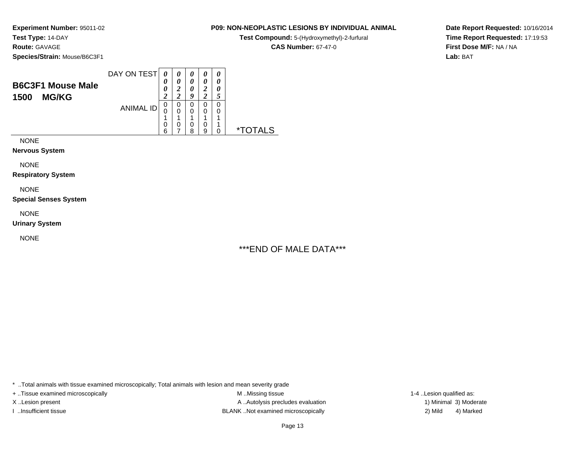# **Species/Strain:** Mouse/B6C3F1

DAY ON TEST**B6C3F1 Mouse Male1500 MG/KG**ANIMAL ID*0 0 0 2* 0 0 1 0 6*0 0 2 2* 0 0 1 0 7*0 0 0 9* 0 0 1 0 8*0 0 2 2* 0 0 1 0 9*0 0 0 5* 0 0 1 1 0 \*TOTALS

NONE

**Nervous System**

NONE

**Respiratory System**

NONE

**Special Senses System**

NONE

**Urinary System**

NONE

### **P09: NON-NEOPLASTIC LESIONS BY INDIVIDUAL ANIMAL**

**Test Compound:** 5-(Hydroxymethyl)-2-furfural

**CAS Number:** 67-47-0

**Date Report Requested:** 10/16/2014**Time Report Requested:** 17:19:53**First Dose M/F:** NA / NA**Lab:** BAT

# \*\*\*END OF MALE DATA\*\*\*

\* ..Total animals with tissue examined microscopically; Total animals with lesion and mean severity grade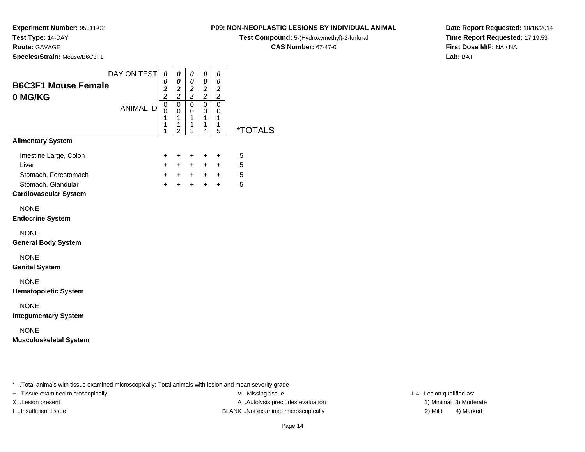**Route:** GAVAGE

**Species/Strain:** Mouse/B6C3F1

### **P09: NON-NEOPLASTIC LESIONS BY INDIVIDUAL ANIMAL**

**Test Compound:** 5-(Hydroxymethyl)-2-furfural

**CAS Number:** 67-47-0

**Date Report Requested:** 10/16/2014**Time Report Requested:** 17:19:53**First Dose M/F:** NA / NA**Lab:** BAT

| <b>B6C3F1 Mouse Female</b><br>0 MG/KG                                                                         | DAY ON TEST      | 0<br>0<br>$\frac{2}{2}$            | $\boldsymbol{\theta}$<br>$\boldsymbol{\theta}$<br>$\frac{2}{2}$ | 0<br>0<br>$\frac{2}{2}$                   | 0<br>$\pmb{\theta}$<br>$\frac{2}{2}$                 | 0<br>$\boldsymbol{\theta}$<br>$\frac{2}{2}$          |                       |  |
|---------------------------------------------------------------------------------------------------------------|------------------|------------------------------------|-----------------------------------------------------------------|-------------------------------------------|------------------------------------------------------|------------------------------------------------------|-----------------------|--|
|                                                                                                               | <b>ANIMAL ID</b> | $\overline{0}$<br>0<br>1<br>1<br>1 | $\mathbf 0$<br>$\mathbf 0$<br>1<br>1<br>$\overline{2}$          | $\mathsf 0$<br>$\mathbf 0$<br>1<br>1<br>3 | $\mathsf 0$<br>$\mathbf 0$<br>$\mathbf{1}$<br>1<br>4 | $\mathbf 0$<br>$\mathbf 0$<br>$\mathbf{1}$<br>1<br>5 | <i><b>*TOTALS</b></i> |  |
| <b>Alimentary System</b>                                                                                      |                  |                                    |                                                                 |                                           |                                                      |                                                      |                       |  |
| Intestine Large, Colon<br>Liver<br>Stomach, Forestomach<br>Stomach, Glandular<br><b>Cardiovascular System</b> |                  | +<br>$+$<br>$+$<br>$\ddot{}$       | +<br>$+$<br>$\ddot{}$                                           | +<br>$+$<br>$+$ $+$ $+$ $+$<br>$+$        | $\ddot{}$<br>$+$<br>$\ddot{}$                        | $\ddot{}$<br>$+$<br>$\ddot{}$                        | 5<br>5<br>5<br>5      |  |
| <b>NONE</b><br><b>Endocrine System</b>                                                                        |                  |                                    |                                                                 |                                           |                                                      |                                                      |                       |  |
| <b>NONE</b><br><b>General Body System</b>                                                                     |                  |                                    |                                                                 |                                           |                                                      |                                                      |                       |  |
| <b>NONE</b><br><b>Genital System</b>                                                                          |                  |                                    |                                                                 |                                           |                                                      |                                                      |                       |  |
| <b>NONE</b><br><b>Hematopoietic System</b>                                                                    |                  |                                    |                                                                 |                                           |                                                      |                                                      |                       |  |
| <b>NONE</b><br><b>Integumentary System</b>                                                                    |                  |                                    |                                                                 |                                           |                                                      |                                                      |                       |  |
| <b>NONE</b><br><b>Musculoskeletal System</b>                                                                  |                  |                                    |                                                                 |                                           |                                                      |                                                      |                       |  |
|                                                                                                               |                  |                                    |                                                                 |                                           |                                                      |                                                      |                       |  |

\* ..Total animals with tissue examined microscopically; Total animals with lesion and mean severity grade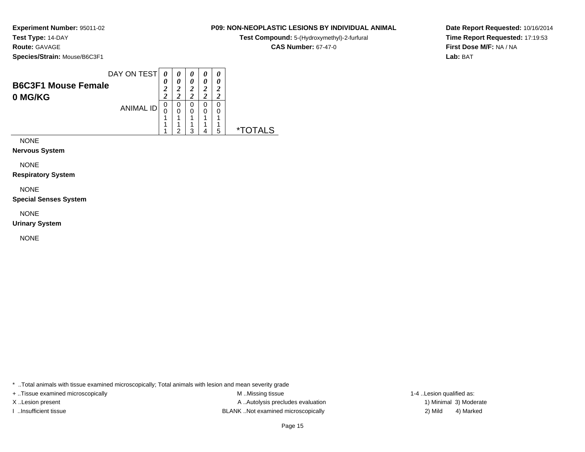## **Route:** GAVAGE

**Species/Strain:** Mouse/B6C3F1

**Test Compound:** 5-(Hydroxymethyl)-2-furfural

**CAS Number:** 67-47-0

 $\overline{\phantom{0}}$ 

**Date Report Requested:** 10/16/2014**Time Report Requested:** 17:19:53**First Dose M/F:** NA / NA**Lab:** BAT

|                                       | DAY ON TEST      |             |        | 0                |        | 0           |  |
|---------------------------------------|------------------|-------------|--------|------------------|--------|-------------|--|
| <b>B6C3F1 Mouse Female</b><br>0 MG/KG |                  | 0<br>1<br>ി | 0      | 0<br>1<br>◢<br>ኅ |        | 0<br>1<br>ി |  |
|                                       | <b>ANIMAL ID</b> | 0<br>O      | 0<br>0 | 0<br>0           | 0<br>0 | 0<br>◢      |  |
|                                       |                  |             | ◠      | າ                |        | 5           |  |

NONE

**Nervous System**

NONE

**Respiratory System**

NONE

**Special Senses System**

NONE

**Urinary System**

NONE

\* ..Total animals with tissue examined microscopically; Total animals with lesion and mean severity grade

+ ..Tissue examined microscopically M ...Missing tissue 1-4 ...

X..Lesion present **A ..Autolysis precludes evaluation** A ..Autolysis precludes evaluation 1) Minimal 3) Moderate I ..Insufficient tissue BLANK ..Not examined microscopically 2) Mild 4) Marked

1-4 ..Lesion qualified as: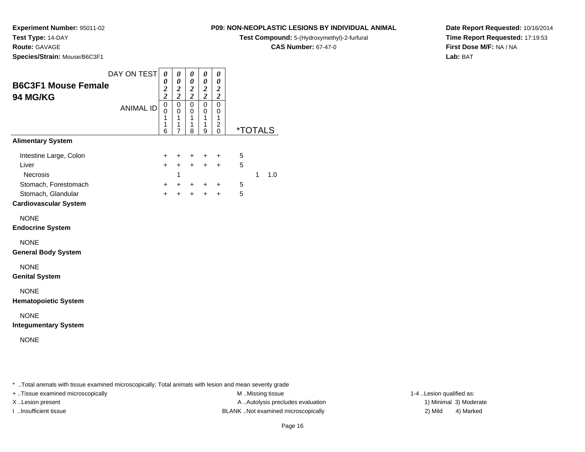**Route:** GAVAGE

**Species/Strain:** Mouse/B6C3F1

### **P09: NON-NEOPLASTIC LESIONS BY INDIVIDUAL ANIMAL**

**Test Compound:** 5-(Hydroxymethyl)-2-furfural

**CAS Number:** 67-47-0

**Date Report Requested:** 10/16/2014**Time Report Requested:** 17:19:53**First Dose M/F:** NA / NA**Lab:** BAT

| <b>B6C3F1 Mouse Female</b><br>94 MG/KG                                                                                                        | DAY ON TEST<br><b>ANIMAL ID</b> | $\boldsymbol{\theta}$<br>0<br>$\boldsymbol{2}$<br>$\boldsymbol{2}$<br>$\pmb{0}$<br>0<br>1<br>1<br>6 | $\boldsymbol{\theta}$<br>0<br>$\boldsymbol{2}$<br>$\boldsymbol{2}$<br>$\pmb{0}$<br>$\mathbf 0$<br>1<br>$\mathbf 1$<br>$\overline{7}$ | $\pmb{\theta}$<br>$\pmb{\theta}$<br>$\boldsymbol{2}$<br>$\boldsymbol{2}$<br>0<br>0<br>1<br>1<br>8 | $\boldsymbol{\theta}$<br>$\boldsymbol{\theta}$<br>$\boldsymbol{2}$<br>$\boldsymbol{2}$<br>$\pmb{0}$<br>0<br>$\mathbf{1}$<br>$\mathbf{1}$<br>9 | 0<br>0<br>$\boldsymbol{2}$<br>$\boldsymbol{2}$<br>0<br>0<br>1<br>$\overline{\mathbf{c}}$<br>$\mathsf 0$ |                                    | <i><b>*TOTALS</b></i> |  |  |                          |
|-----------------------------------------------------------------------------------------------------------------------------------------------|---------------------------------|-----------------------------------------------------------------------------------------------------|--------------------------------------------------------------------------------------------------------------------------------------|---------------------------------------------------------------------------------------------------|-----------------------------------------------------------------------------------------------------------------------------------------------|---------------------------------------------------------------------------------------------------------|------------------------------------|-----------------------|--|--|--------------------------|
| <b>Alimentary System</b>                                                                                                                      |                                 |                                                                                                     |                                                                                                                                      |                                                                                                   |                                                                                                                                               |                                                                                                         |                                    |                       |  |  |                          |
| Intestine Large, Colon<br>Liver<br>Necrosis<br>Stomach, Forestomach<br>Stomach, Glandular<br><b>Cardiovascular System</b>                     |                                 | $\ddot{}$<br>$+$<br>$\ddot{}$<br>$\ddot{}$                                                          | $\ddot{}$<br>$+$<br>-1                                                                                                               | $+$<br>+<br>$\div$                                                                                | $+$<br>$\ddot{}$                                                                                                                              | $+$<br>$\ddot{}$<br>$\ddot{}$                                                                           | 5<br>$\sqrt{5}$<br>5<br>$\sqrt{5}$ | 1.0<br>$\mathbf{1}$   |  |  |                          |
| <b>NONE</b><br><b>Endocrine System</b>                                                                                                        |                                 |                                                                                                     |                                                                                                                                      |                                                                                                   |                                                                                                                                               |                                                                                                         |                                    |                       |  |  |                          |
| <b>NONE</b><br><b>General Body System</b><br><b>NONE</b>                                                                                      |                                 |                                                                                                     |                                                                                                                                      |                                                                                                   |                                                                                                                                               |                                                                                                         |                                    |                       |  |  |                          |
| <b>Genital System</b><br><b>NONE</b><br><b>Hematopoietic System</b>                                                                           |                                 |                                                                                                     |                                                                                                                                      |                                                                                                   |                                                                                                                                               |                                                                                                         |                                    |                       |  |  |                          |
| <b>NONE</b><br><b>Integumentary System</b>                                                                                                    |                                 |                                                                                                     |                                                                                                                                      |                                                                                                   |                                                                                                                                               |                                                                                                         |                                    |                       |  |  |                          |
| <b>NONE</b>                                                                                                                                   |                                 |                                                                                                     |                                                                                                                                      |                                                                                                   |                                                                                                                                               |                                                                                                         |                                    |                       |  |  |                          |
|                                                                                                                                               |                                 |                                                                                                     |                                                                                                                                      |                                                                                                   |                                                                                                                                               |                                                                                                         |                                    |                       |  |  |                          |
| *  Total animals with tissue examined microscopically; Total animals with lesion and mean severity grade<br>+ Tissue examined microscopically |                                 |                                                                                                     |                                                                                                                                      |                                                                                                   |                                                                                                                                               |                                                                                                         |                                    | M Missing tissue      |  |  | 1-4 Lesion qualified as: |

M ..Missing tissue X..Lesion present **A ..Autolysis precludes evaluation** A ..Autolysis precludes evaluation 1) Minimal 3) Moderate I ..Insufficient tissue BLANK ..Not examined microscopically 2) Mild 4) Marked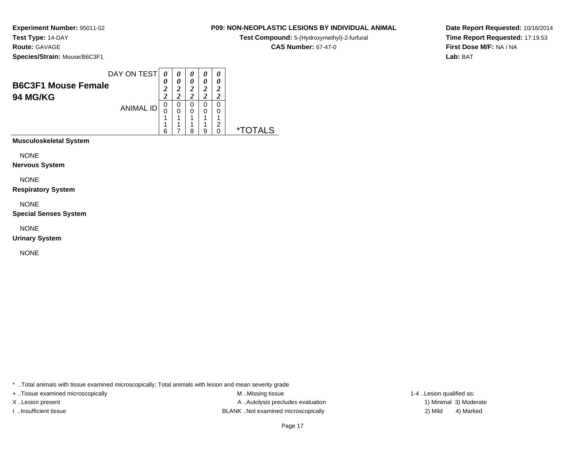**Species/Strain:** Mouse/B6C3F1

**Test Compound:** 5-(Hydroxymethyl)-2-furfural

**CAS Number:** 67-47-0

 $\overline{\phantom{0}}$ 

**Date Report Requested:** 10/16/2014**Time Report Requested:** 17:19:53**First Dose M/F:** NA / NA**Lab:** BAT

| <b>B6C3F1 Mouse Female</b><br><b>94 MG/KG</b> | DAY ON TEST      | $\boldsymbol{\theta}$<br>0<br>2<br>2 | 0<br>0<br><u>ีว</u><br>າ | 0<br>0<br>2<br>ി | 0<br>∍      | 0<br>0<br>2<br>2 |    |
|-----------------------------------------------|------------------|--------------------------------------|--------------------------|------------------|-------------|------------------|----|
|                                               | <b>ANIMAL ID</b> | 0<br>6                               | 0<br>0<br>4<br>4         | 0<br>0<br>◢<br>я | 0<br>1<br>g | ົ                | *. |
| <b>Musculoskeletal System</b>                 |                  |                                      |                          |                  |             |                  |    |

NONE

**Nervous System**

NONE

**Respiratory System**

NONE

**Special Senses System**

NONE

**Urinary System**

NONE

\* ..Total animals with tissue examined microscopically; Total animals with lesion and mean severity grade

+ ..Tissue examined microscopically M ...Missing tissue 1-4 ...

X..Lesion present **A ..Autolysis precludes evaluation** A ..Autolysis precludes evaluation 1) Minimal 3) Moderate I ..Insufficient tissue 2) Mild and the SLANK ..Not examined microscopically and the SLANK ... Insufficient tissue

1-4 ..Lesion qualified as: 4) Marked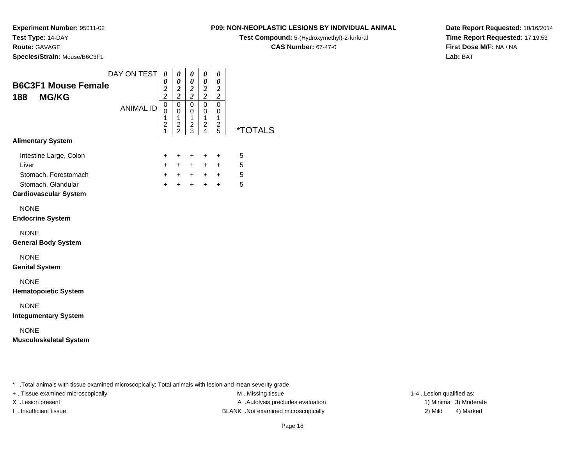### **Route:** GAVAGE

**Species/Strain:** Mouse/B6C3F1

### **P09: NON-NEOPLASTIC LESIONS BY INDIVIDUAL ANIMAL**

**Test Compound:** 5-(Hydroxymethyl)-2-furfural

**CAS Number:** 67-47-0

**Date Report Requested:** 10/16/2014**Time Report Requested:** 17:19:53**First Dose M/F:** NA / NA**Lab:** BAT

| <b>B6C3F1 Mouse Female</b>                                                                                    | DAY ON TEST      | $\boldsymbol{\theta}$<br>0<br>$\frac{2}{2}$                        | 0<br>$\boldsymbol{\theta}$<br>$\frac{2}{2}$       | $\pmb{\theta}$<br>$\boldsymbol{\theta}$<br>$\frac{2}{2}$ | 0<br>$\pmb{\theta}$<br>$\frac{2}{2}$                 | 0<br>$\boldsymbol{\theta}$<br>$\frac{2}{2}$ |                       |
|---------------------------------------------------------------------------------------------------------------|------------------|--------------------------------------------------------------------|---------------------------------------------------|----------------------------------------------------------|------------------------------------------------------|---------------------------------------------|-----------------------|
| <b>MG/KG</b><br>188                                                                                           | <b>ANIMAL ID</b> | $\overline{0}$<br>0<br>$\mathbf 1$<br>$\overline{\mathbf{c}}$<br>1 | $\mathbf 0$<br>0<br>$\mathbf{1}$<br>$\frac{2}{2}$ | $\overline{0}$<br>0<br>1<br>$\overline{\mathbf{c}}$<br>3 | $\overline{0}$<br>0<br>$\mathbf{1}$<br>$\frac{2}{4}$ | $\mathbf 0$<br>0<br>1<br>$\frac{2}{5}$      | <i><b>*TOTALS</b></i> |
| <b>Alimentary System</b>                                                                                      |                  |                                                                    |                                                   |                                                          |                                                      |                                             |                       |
| Intestine Large, Colon<br>Liver<br>Stomach, Forestomach<br>Stomach, Glandular<br><b>Cardiovascular System</b> |                  | +<br>$\pm$<br>$\ddot{}$<br>$\ddot{}$                               | +<br>$\ddot{}$<br>$+$<br>$\ddot{}$                | +<br>$\pm$<br>$+$<br>$+$                                 | $\pm$<br>$\ddot{}$<br>$+$<br>$+$                     | +<br>$\ddot{}$<br>$+$<br>$+$                | 5<br>5<br>5<br>5      |
| <b>NONE</b><br><b>Endocrine System</b><br><b>NONE</b>                                                         |                  |                                                                    |                                                   |                                                          |                                                      |                                             |                       |
| <b>General Body System</b>                                                                                    |                  |                                                                    |                                                   |                                                          |                                                      |                                             |                       |
| <b>NONE</b><br><b>Genital System</b>                                                                          |                  |                                                                    |                                                   |                                                          |                                                      |                                             |                       |
| <b>NONE</b><br><b>Hematopoietic System</b>                                                                    |                  |                                                                    |                                                   |                                                          |                                                      |                                             |                       |
| <b>NONE</b><br><b>Integumentary System</b>                                                                    |                  |                                                                    |                                                   |                                                          |                                                      |                                             |                       |
| <b>NONE</b><br><b>Musculoskeletal System</b>                                                                  |                  |                                                                    |                                                   |                                                          |                                                      |                                             |                       |
|                                                                                                               |                  |                                                                    |                                                   |                                                          |                                                      |                                             |                       |

..Total animals with tissue examined microscopically; Total animals with lesion and mean severity grade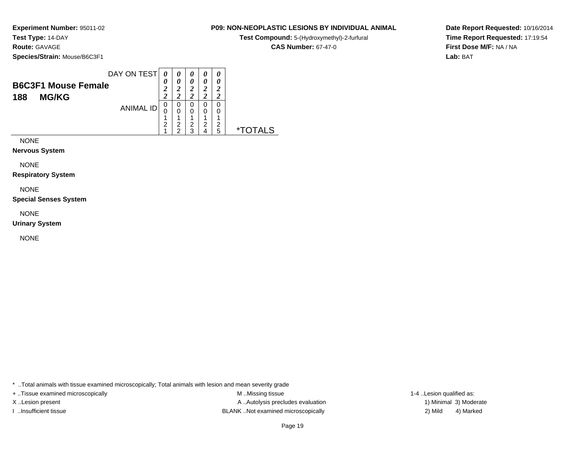**Species/Strain:** Mouse/B6C3F1

#### **P09: NON-NEOPLASTIC LESIONS BY INDIVIDUAL ANIMAL**

**Test Compound:** 5-(Hydroxymethyl)-2-furfural

**CAS Number:** 67-47-0

**Date Report Requested:** 10/16/2014**Time Report Requested:** 17:19:54**First Dose M/F:** NA / NA**Lab:** BAT

| <b>B6C3F1 Mouse Female</b><br>າ                             |                  |                  | 0      | 0<br>2                |  |
|-------------------------------------------------------------|------------------|------------------|--------|-----------------------|--|
| ኅ<br><b>MG/KG</b><br>188<br>0<br><b>ANIMAL ID</b><br>0<br>2 | O<br>×<br>2<br>ີ | 0<br>л<br>າ<br>◠ | и<br>2 | ി<br>0<br>и<br>2<br>5 |  |

NONE

**Nervous System**

NONE

**Respiratory System**

NONE

**Special Senses System**

NONE

**Urinary System**

NONE

\* ..Total animals with tissue examined microscopically; Total animals with lesion and mean severity grade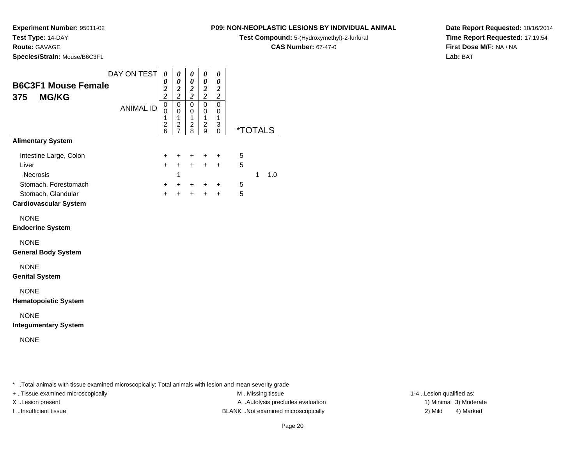**Route:** GAVAGE

**Species/Strain:** Mouse/B6C3F1

### **P09: NON-NEOPLASTIC LESIONS BY INDIVIDUAL ANIMAL**

**Test Compound:** 5-(Hydroxymethyl)-2-furfural

**CAS Number:** 67-47-0

**Date Report Requested:** 10/16/2014**Time Report Requested:** 17:19:54**First Dose M/F:** NA / NA**Lab:** BAT

| <b>B6C3F1 Mouse Female</b><br><b>MG/KG</b><br>375                                         | DAY ON TEST      | 0<br>0<br>$\boldsymbol{2}$<br>$\overline{\mathbf{c}}$ | 0<br>0<br>$\boldsymbol{2}$<br>$\overline{c}$                                   | 0<br>0<br>$\boldsymbol{2}$<br>$\overline{c}$           | 0<br>0<br>$\boldsymbol{2}$<br>$\overline{2}$           | 0<br>0<br>$\boldsymbol{2}$<br>$\overline{\mathbf{c}}$ |                       |   |     |
|-------------------------------------------------------------------------------------------|------------------|-------------------------------------------------------|--------------------------------------------------------------------------------|--------------------------------------------------------|--------------------------------------------------------|-------------------------------------------------------|-----------------------|---|-----|
|                                                                                           | <b>ANIMAL ID</b> | $\mathsf 0$<br>0<br>1<br>$\overline{\mathbf{c}}$<br>6 | $\mathbf 0$<br>$\mathbf 0$<br>$\mathbf{1}$<br>$\overline{c}$<br>$\overline{7}$ | 0<br>0<br>$\mathbf{1}$<br>$\overline{\mathbf{c}}$<br>8 | $\mathbf 0$<br>$\mathbf 0$<br>1<br>$\overline{c}$<br>9 | 0<br>0<br>1<br>3<br>0                                 | <i><b>*TOTALS</b></i> |   |     |
| <b>Alimentary System</b>                                                                  |                  |                                                       |                                                                                |                                                        |                                                        |                                                       |                       |   |     |
| Intestine Large, Colon<br>Liver<br>Necrosis<br>Stomach, Forestomach<br>Stomach, Glandular |                  | $\ddot{}$<br>$+$<br>$+$<br>$+$                        | $\ddot{}$<br>$+$<br>1<br>$\ddot{}$<br>$\ddot{}$                                | +<br>$+$<br>$\ddot{}$<br>$\ddot{}$                     | $\ddot{}$<br>$\ddot{}$<br>$\ddot{}$<br>$+$             | +<br>$+$<br>+<br>$+$                                  | 5<br>5<br>5<br>5      | 1 | 1.0 |
| <b>Cardiovascular System</b>                                                              |                  |                                                       |                                                                                |                                                        |                                                        |                                                       |                       |   |     |
| <b>NONE</b><br><b>Endocrine System</b>                                                    |                  |                                                       |                                                                                |                                                        |                                                        |                                                       |                       |   |     |
| <b>NONE</b><br><b>General Body System</b>                                                 |                  |                                                       |                                                                                |                                                        |                                                        |                                                       |                       |   |     |
| <b>NONE</b><br><b>Genital System</b>                                                      |                  |                                                       |                                                                                |                                                        |                                                        |                                                       |                       |   |     |
| <b>NONE</b><br><b>Hematopoietic System</b>                                                |                  |                                                       |                                                                                |                                                        |                                                        |                                                       |                       |   |     |
| <b>NONE</b><br><b>Integumentary System</b>                                                |                  |                                                       |                                                                                |                                                        |                                                        |                                                       |                       |   |     |
| <b>NONE</b>                                                                               |                  |                                                       |                                                                                |                                                        |                                                        |                                                       |                       |   |     |
|                                                                                           |                  |                                                       |                                                                                |                                                        |                                                        |                                                       |                       |   |     |

..Total animals with tissue examined microscopically; Total animals with lesion and mean severity grade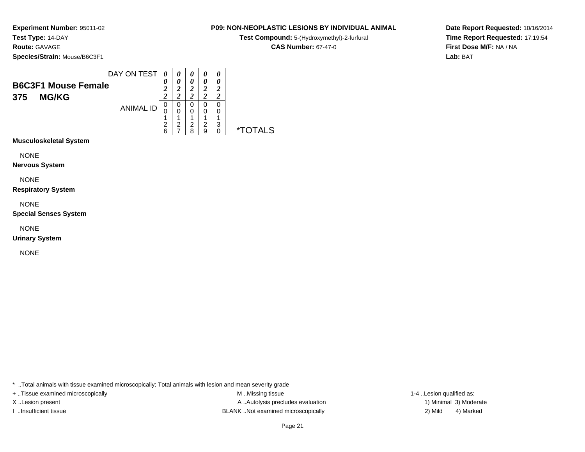**Species/Strain:** Mouse/B6C3F1

| <b>P09: NON-NEOPLASTIC LESIONS BY INDIVIDUAL ANIMAL</b> |  |  |
|---------------------------------------------------------|--|--|

**Test Compound:** 5-(Hydroxymethyl)-2-furfural

**CAS Number:** 67-47-0

 $\overline{\phantom{0}}$ 

**Date Report Requested:** 10/16/2014**Time Report Requested:** 17:19:54**First Dose M/F:** NA / NA**Lab:** BAT

| DAY ON TEST<br>0<br>0<br>0<br>0<br>0<br>0<br>0<br><b>B6C3F1 Mouse Female</b><br>$\overline{2}$<br>2<br>2<br>1<br>2<br>າ<br><b>MG/KG</b><br>375<br>0<br>0<br>0<br>0<br>0<br><b>ANIMAL ID</b><br>0<br>0<br>0<br>0<br>0 |  |
|----------------------------------------------------------------------------------------------------------------------------------------------------------------------------------------------------------------------|--|
|----------------------------------------------------------------------------------------------------------------------------------------------------------------------------------------------------------------------|--|

**Musculoskeletal System**

NONE

**Nervous System**

NONE

**Respiratory System**

NONE

**Special Senses System**

NONE

**Urinary System**

NONE

\* ..Total animals with tissue examined microscopically; Total animals with lesion and mean severity grade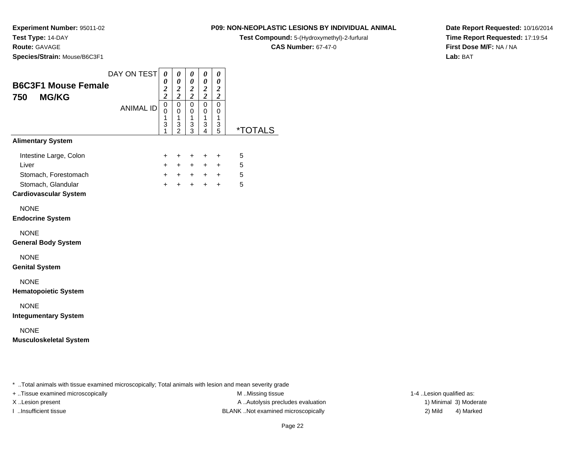### **Route:** GAVAGE

**Species/Strain:** Mouse/B6C3F1

### **P09: NON-NEOPLASTIC LESIONS BY INDIVIDUAL ANIMAL**

**Test Compound:** 5-(Hydroxymethyl)-2-furfural

**CAS Number:** 67-47-0

**Date Report Requested:** 10/16/2014**Time Report Requested:** 17:19:54**First Dose M/F:** NA / NA**Lab:** BAT

|                                                   | DAY ON TEST      | 0<br>0                          | 0<br>$\boldsymbol{\theta}$         | $\pmb{\theta}$<br>0                  | 0<br>$\pmb{\theta}$                        | $\boldsymbol{\theta}$<br>$\boldsymbol{\theta}$ |                       |
|---------------------------------------------------|------------------|---------------------------------|------------------------------------|--------------------------------------|--------------------------------------------|------------------------------------------------|-----------------------|
| <b>B6C3F1 Mouse Female</b><br>750<br><b>MG/KG</b> |                  | $\frac{2}{2}$                   | $\frac{2}{2}$                      | $\overline{\mathbf{c}}$<br>$\bar{2}$ | $\frac{2}{2}$                              | $\frac{2}{2}$                                  |                       |
|                                                   | <b>ANIMAL ID</b> | $\mathbf 0$<br>0<br>1<br>3<br>1 | 0<br>0<br>1<br>3<br>$\overline{2}$ | $\mathbf 0$<br>0<br>1<br>3<br>3      | $\mathbf 0$<br>0<br>$\mathbf{1}$<br>3<br>4 | $\mathbf 0$<br>0<br>$\mathbf{1}$<br>3<br>5     | <i><b>*TOTALS</b></i> |
| <b>Alimentary System</b>                          |                  |                                 |                                    |                                      |                                            |                                                |                       |
| Intestine Large, Colon<br>Liver                   |                  | +<br>$\ddot{}$                  | +<br>$\ddot{}$                     | $\ddot{}$<br>$+$                     | $\ddot{}$<br>$+$                           | $\ddot{}$<br>$+$                               | 5<br>5                |
| Stomach, Forestomach<br>Stomach, Glandular        |                  | $+$<br>$\ddot{}$                | $+$                                | $+$ $+$<br>$+$                       | $+$                                        | $+$ $+$<br>$+$                                 | 5<br>5                |
| <b>Cardiovascular System</b>                      |                  |                                 |                                    |                                      |                                            |                                                |                       |
| <b>NONE</b><br><b>Endocrine System</b>            |                  |                                 |                                    |                                      |                                            |                                                |                       |
| <b>NONE</b><br><b>General Body System</b>         |                  |                                 |                                    |                                      |                                            |                                                |                       |
| <b>NONE</b><br><b>Genital System</b>              |                  |                                 |                                    |                                      |                                            |                                                |                       |
| <b>NONE</b><br><b>Hematopoietic System</b>        |                  |                                 |                                    |                                      |                                            |                                                |                       |
| <b>NONE</b><br><b>Integumentary System</b>        |                  |                                 |                                    |                                      |                                            |                                                |                       |
| <b>NONE</b><br><b>Musculoskeletal System</b>      |                  |                                 |                                    |                                      |                                            |                                                |                       |

..Total animals with tissue examined microscopically; Total animals with lesion and mean severity grade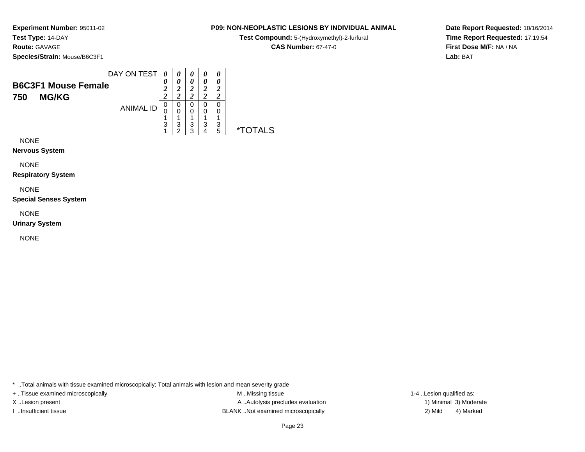**Species/Strain:** Mouse/B6C3F1

| <b>P09: NON-NEOPLASTIC LESIONS BY INDIVIDUAL ANIMAL</b> |  |
|---------------------------------------------------------|--|
|---------------------------------------------------------|--|

**Test Compound:** 5-(Hydroxymethyl)-2-furfural

**CAS Number:** 67-47-0

 $\overline{\phantom{0}}$ 

**Date Report Requested:** 10/16/2014**Time Report Requested:** 17:19:54**First Dose M/F:** NA / NA**Lab:** BAT

|                                                   | DAY ON TEST      |             | 0      | 0           |        | 0           |   |
|---------------------------------------------------|------------------|-------------|--------|-------------|--------|-------------|---|
| <b>B6C3F1 Mouse Female</b><br><b>MG/KG</b><br>750 |                  | 0<br>2<br>1 | 0      | 0<br>2      | 0      | 0<br>2<br>າ |   |
|                                                   | <b>ANIMAL ID</b> | 0<br>0      | 0<br>0 | 0<br>0<br>◢ | 0<br>0 | 0<br>◢      |   |
|                                                   |                  | 3           | 3<br>◠ | 3<br>◠      | 3      | 3<br>5      | × |

NONE

**Nervous System**

NONE

**Respiratory System**

NONE

**Special Senses System**

NONE

**Urinary System**

NONE

\* ..Total animals with tissue examined microscopically; Total animals with lesion and mean severity grade

+ ..Tissue examined microscopically M ...Missing tissue 1-4 ...

X..Lesion present **A ..Autolysis precludes evaluation** A ..Autolysis precludes evaluation 1) Minimal 3) Moderate I ..Insufficient tissue BLANK ..Not examined microscopically 2) Mild 4) Marked

1-4 ..Lesion qualified as: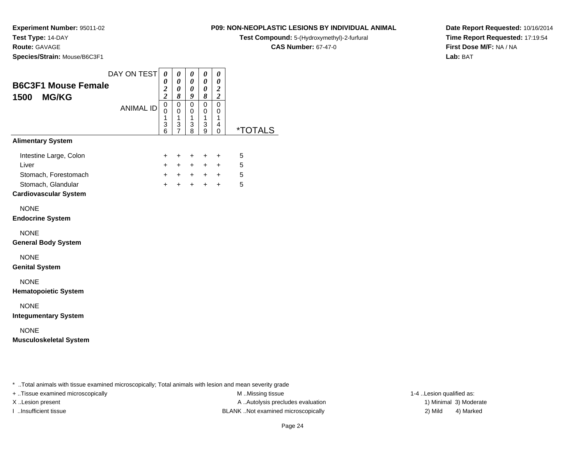### **Route:** GAVAGE

**Species/Strain:** Mouse/B6C3F1

### **P09: NON-NEOPLASTIC LESIONS BY INDIVIDUAL ANIMAL**

**Test Compound:** 5-(Hydroxymethyl)-2-furfural

**CAS Number:** 67-47-0

**Date Report Requested:** 10/16/2014**Time Report Requested:** 17:19:54**First Dose M/F:** NA / NA**Lab:** BAT

| <b>B6C3F1 Mouse Female</b><br><b>MG/KG</b><br>1500                                                            | DAY ON TEST      | 0<br>0<br>$\frac{2}{2}$            | 0<br>0<br>0<br>8                                       | 0<br>0<br>0<br>9                                                           | 0<br>0<br>0<br>8                                        | 0<br>$\boldsymbol{\theta}$<br>$\boldsymbol{2}$<br>$\boldsymbol{2}$ |                       |  |
|---------------------------------------------------------------------------------------------------------------|------------------|------------------------------------|--------------------------------------------------------|----------------------------------------------------------------------------|---------------------------------------------------------|--------------------------------------------------------------------|-----------------------|--|
|                                                                                                               | <b>ANIMAL ID</b> | $\overline{0}$<br>0<br>1<br>3<br>6 | $\mathsf 0$<br>$\mathbf 0$<br>1<br>3<br>$\overline{7}$ | $\pmb{0}$<br>$\mathbf 0$<br>$\mathbf{1}$<br>$\ensuremath{\mathsf{3}}$<br>8 | $\overline{0}$<br>$\mathbf 0$<br>$\mathbf{1}$<br>3<br>9 | $\mathbf 0$<br>$\mathbf 0$<br>1<br>4<br>0                          | <i><b>*TOTALS</b></i> |  |
| <b>Alimentary System</b>                                                                                      |                  |                                    |                                                        |                                                                            |                                                         |                                                                    |                       |  |
| Intestine Large, Colon<br>Liver<br>Stomach, Forestomach<br>Stomach, Glandular<br><b>Cardiovascular System</b> |                  | +<br>$\ddot{}$<br>$+$<br>$\ddot{}$ | +<br>$+$<br>$\ddot{}$                                  | $\ddot{}$<br>$+$<br>$+ + + + +$<br>$+$                                     | $\ddot{}$<br>$+$<br>$+$                                 | $\ddot{}$<br>$+$<br>$+$                                            | 5<br>5<br>5<br>5      |  |
| <b>NONE</b><br><b>Endocrine System</b>                                                                        |                  |                                    |                                                        |                                                                            |                                                         |                                                                    |                       |  |
| <b>NONE</b><br><b>General Body System</b>                                                                     |                  |                                    |                                                        |                                                                            |                                                         |                                                                    |                       |  |
| <b>NONE</b><br><b>Genital System</b>                                                                          |                  |                                    |                                                        |                                                                            |                                                         |                                                                    |                       |  |
| <b>NONE</b><br><b>Hematopoietic System</b>                                                                    |                  |                                    |                                                        |                                                                            |                                                         |                                                                    |                       |  |
| <b>NONE</b><br><b>Integumentary System</b>                                                                    |                  |                                    |                                                        |                                                                            |                                                         |                                                                    |                       |  |
| <b>NONE</b><br><b>Musculoskeletal System</b>                                                                  |                  |                                    |                                                        |                                                                            |                                                         |                                                                    |                       |  |
|                                                                                                               |                  |                                    |                                                        |                                                                            |                                                         |                                                                    |                       |  |
|                                                                                                               |                  |                                    |                                                        |                                                                            |                                                         |                                                                    |                       |  |

\* ..Total animals with tissue examined microscopically; Total animals with lesion and mean severity grade